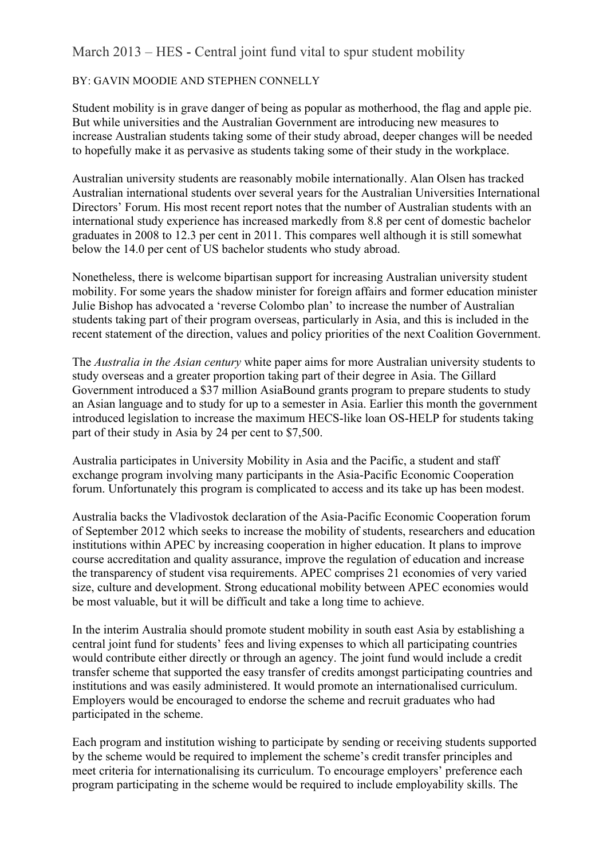## March 2013 – HES - Central joint fund vital to spur student mobility

## BY: GAVIN MOODIE AND STEPHEN CONNELLY

Student mobility is in grave danger of being as popular as motherhood, the flag and apple pie. But while universities and the Australian Government are introducing new measures to increase Australian students taking some of their study abroad, deeper changes will be needed to hopefully make it as pervasive as students taking some of their study in the workplace.

Australian university students are reasonably mobile internationally. Alan Olsen has tracked Australian international students over several years for the Australian Universities International Directors' Forum. His most recent report notes that the number of Australian students with an international study experience has increased markedly from 8.8 per cent of domestic bachelor graduates in 2008 to 12.3 per cent in 2011. This compares well although it is still somewhat below the 14.0 per cent of US bachelor students who study abroad.

Nonetheless, there is welcome bipartisan support for increasing Australian university student mobility. For some years the shadow minister for foreign affairs and former education minister Julie Bishop has advocated a 'reverse Colombo plan' to increase the number of Australian students taking part of their program overseas, particularly in Asia, and this is included in the recent statement of the direction, values and policy priorities of the next Coalition Government.

The *Australia in the Asian century* white paper aims for more Australian university students to study overseas and a greater proportion taking part of their degree in Asia. The Gillard Government introduced a \$37 million AsiaBound grants program to prepare students to study an Asian language and to study for up to a semester in Asia. Earlier this month the government introduced legislation to increase the maximum HECS-like loan OS-HELP for students taking part of their study in Asia by 24 per cent to \$7,500.

Australia participates in University Mobility in Asia and the Pacific, a student and staff exchange program involving many participants in the Asia-Pacific Economic Cooperation forum. Unfortunately this program is complicated to access and its take up has been modest.

Australia backs the Vladivostok declaration of the Asia-Pacific Economic Cooperation forum of September 2012 which seeks to increase the mobility of students, researchers and education institutions within APEC by increasing cooperation in higher education. It plans to improve course accreditation and quality assurance, improve the regulation of education and increase the transparency of student visa requirements. APEC comprises 21 economies of very varied size, culture and development. Strong educational mobility between APEC economies would be most valuable, but it will be difficult and take a long time to achieve.

In the interim Australia should promote student mobility in south east Asia by establishing a central joint fund for students' fees and living expenses to which all participating countries would contribute either directly or through an agency. The joint fund would include a credit transfer scheme that supported the easy transfer of credits amongst participating countries and institutions and was easily administered. It would promote an internationalised curriculum. Employers would be encouraged to endorse the scheme and recruit graduates who had participated in the scheme.

Each program and institution wishing to participate by sending or receiving students supported by the scheme would be required to implement the scheme's credit transfer principles and meet criteria for internationalising its curriculum. To encourage employers' preference each program participating in the scheme would be required to include employability skills. The